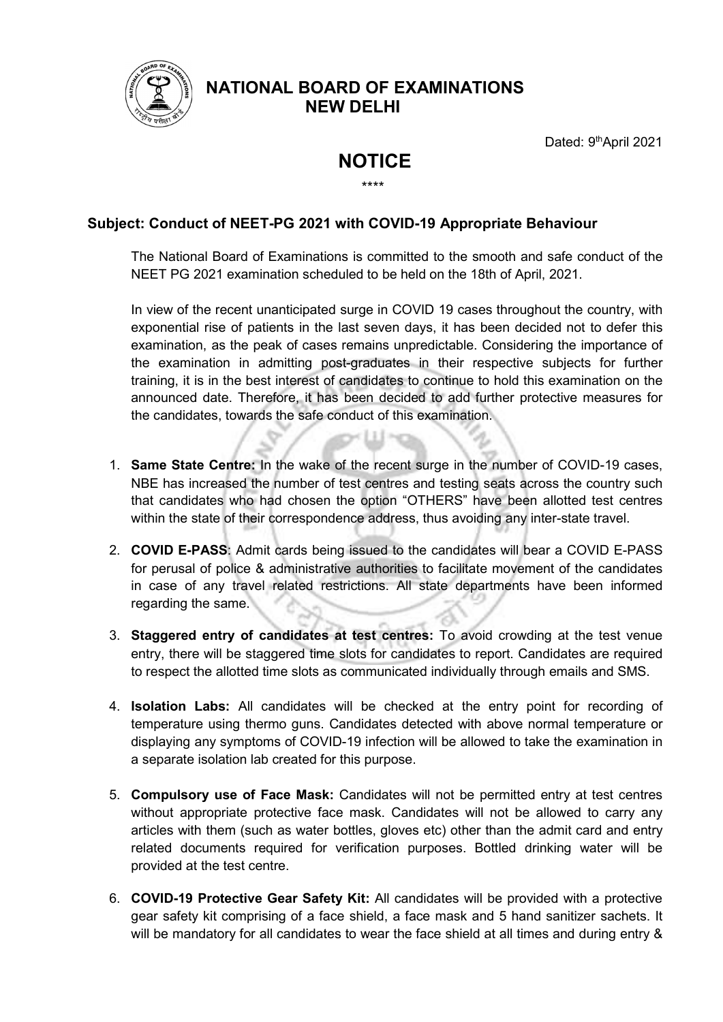

## NATIONAL BOARD OF EXAMINATIONS NEW DELHI

Dated: 9<sup>th</sup>April 2021

## NOTICE \*\*\*\*

## Subject: Conduct of NEET-PG 2021 with COVID-19 Appropriate Behaviour

The National Board of Examinations is committed to the smooth and safe conduct of the NEET PG 2021 examination scheduled to be held on the 18th of April, 2021.

In view of the recent unanticipated surge in COVID 19 cases throughout the country, with exponential rise of patients in the last seven days, it has been decided not to defer this examination, as the peak of cases remains unpredictable. Considering the importance of the examination in admitting post-graduates in their respective subjects for further training, it is in the best interest of candidates to continue to hold this examination on the announced date. Therefore, it has been decided to add further protective measures for the candidates, towards the safe conduct of this examination.

- 1. Same State Centre: In the wake of the recent surge in the number of COVID-19 cases, NBE has increased the number of test centres and testing seats across the country such that candidates who had chosen the option "OTHERS" have been allotted test centres within the state of their correspondence address, thus avoiding any inter-state travel.
- 2. COVID E-PASS: Admit cards being issued to the candidates will bear a COVID E-PASS for perusal of police & administrative authorities to facilitate movement of the candidates in case of any travel related restrictions. All state departments have been informed regarding the same.
- 3. Staggered entry of candidates at test centres: To avoid crowding at the test venue entry, there will be staggered time slots for candidates to report. Candidates are required to respect the allotted time slots as communicated individually through emails and SMS.
- 4. Isolation Labs: All candidates will be checked at the entry point for recording of temperature using thermo guns. Candidates detected with above normal temperature or displaying any symptoms of COVID-19 infection will be allowed to take the examination in a separate isolation lab created for this purpose.
- 5. Compulsory use of Face Mask: Candidates will not be permitted entry at test centres without appropriate protective face mask. Candidates will not be allowed to carry any articles with them (such as water bottles, gloves etc) other than the admit card and entry related documents required for verification purposes. Bottled drinking water will be provided at the test centre.
- 6. COVID-19 Protective Gear Safety Kit: All candidates will be provided with a protective gear safety kit comprising of a face shield, a face mask and 5 hand sanitizer sachets. It will be mandatory for all candidates to wear the face shield at all times and during entry &